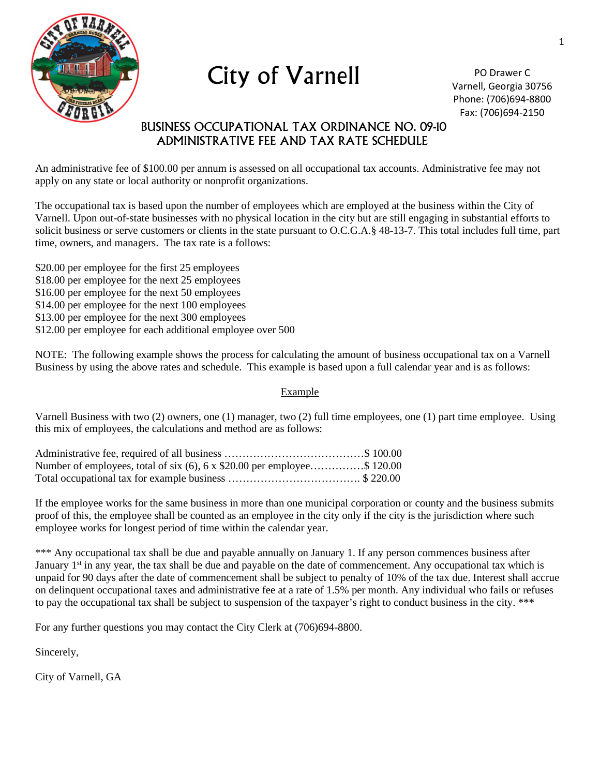

City of Varnell

PO Drawer C Varnell, Georgia 30756 Phone: (706)694-8800 Fax: (706)694-2150

## BUSINESS OCCUPATIONAL TAX ORDINANCE NO. 09-10 ADMINISTRATIVE FEE AND TAX RATE SCHEDULE

An administrative fee of \$100.00 per annum is assessed on all occupational tax accounts. Administrative fee may not apply on any state or local authority or nonprofit organizations.

The occupational tax is based upon the number of employees which are employed at the business within the City of Varnell. Upon out-of-state businesses with no physical location in the city but are still engaging in substantial efforts to solicit business or serve customers or clients in the state pursuant to O.C.G.A.§ 48-13-7. This total includes full time, part time, owners, and managers. The tax rate is a follows:

- \$20.00 per employee for the first 25 employees
- \$18.00 per employee for the next 25 employees
- \$16.00 per employee for the next 50 employees
- \$14.00 per employee for the next 100 employees
- \$13.00 per employee for the next 300 employees
- \$12.00 per employee for each additional employee over 500

NOTE: The following example shows the process for calculating the amount of business occupational tax on a Varnell Business by using the above rates and schedule. This example is based upon a full calendar year and is as follows:

#### Example

Varnell Business with two (2) owners, one (1) manager, two (2) full time employees, one (1) part time employee. Using this mix of employees, the calculations and method are as follows:

| Number of employees, total of six (6), 6 x \$20.00 per employee\$ 120.00 |  |
|--------------------------------------------------------------------------|--|
|                                                                          |  |

If the employee works for the same business in more than one municipal corporation or county and the business submits proof of this, the employee shall be counted as an employee in the city only if the city is the jurisdiction where such employee works for longest period of time within the calendar year.

\*\*\* Any occupational tax shall be due and payable annually on January 1. If any person commences business after January 1<sup>st</sup> in any year, the tax shall be due and payable on the date of commencement. Any occupational tax which is unpaid for 90 days after the date of commencement shall be subject to penalty of 10% of the tax due. Interest shall accrue on delinquent occupational taxes and administrative fee at a rate of 1.5% per month. Any individual who fails or refuses to pay the occupational tax shall be subject to suspension of the taxpayer's right to conduct business in the city. \*\*\*

For any further questions you may contact the City Clerk at (706)694-8800.

Sincerely,

City of Varnell, GA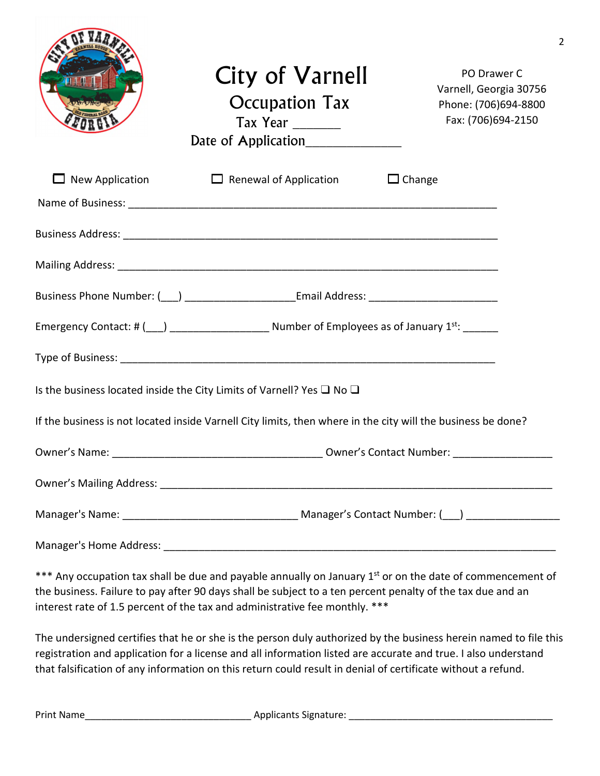|                        | City of Varnell<br><b>Occupation Tax</b><br>Tax Year<br>Date of Application____________                       | PO Drawer C<br>Varnell, Georgia 30756<br>Phone: (706)694-8800<br>Fax: (706)694-2150 |
|------------------------|---------------------------------------------------------------------------------------------------------------|-------------------------------------------------------------------------------------|
| <b>New Application</b> | $\Box$ Renewal of Application                                                                                 | $\Box$ Change                                                                       |
|                        |                                                                                                               |                                                                                     |
|                        |                                                                                                               |                                                                                     |
|                        |                                                                                                               |                                                                                     |
|                        | Business Phone Number: (10) 2020 2020 [2010] [2010] [2010] [2010] [2010] [2010] [2010] [2010] [2010] [2010] [ |                                                                                     |
|                        |                                                                                                               |                                                                                     |
|                        |                                                                                                               |                                                                                     |
|                        | Is the business located inside the City Limits of Varnell? Yes $\Box$ No $\Box$                               |                                                                                     |
|                        | If the business is not located inside Varnell City limits, then where in the city will the business be done?  |                                                                                     |
|                        |                                                                                                               |                                                                                     |
|                        |                                                                                                               |                                                                                     |
|                        |                                                                                                               |                                                                                     |
|                        |                                                                                                               |                                                                                     |

2

\*\*\* Any occupation tax shall be due and payable annually on January 1<sup>st</sup> or on the date of commencement of the business. Failure to pay after 90 days shall be subject to a ten percent penalty of the tax due and an interest rate of 1.5 percent of the tax and administrative fee monthly. \*\*\*

The undersigned certifies that he or she is the person duly authorized by the business herein named to file this registration and application for a license and all information listed are accurate and true. I also understand that falsification of any information on this return could result in denial of certificate without a refund.